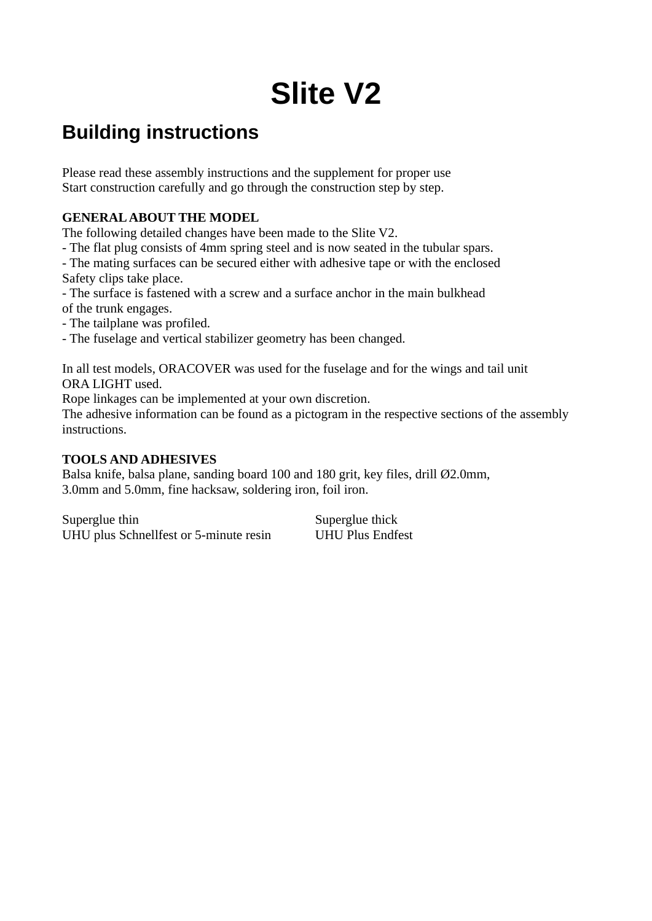# **Slite V2**

# **Building instructions**

Please read these assembly instructions and the supplement for proper use Start construction carefully and go through the construction step by step.

#### **GENERAL ABOUT THE MODEL**

The following detailed changes have been made to the Slite V2.

- The flat plug consists of 4mm spring steel and is now seated in the tubular spars.

- The mating surfaces can be secured either with adhesive tape or with the enclosed Safety clips take place.

- The surface is fastened with a screw and a surface anchor in the main bulkhead of the trunk engages.

- The tailplane was profiled.

- The fuselage and vertical stabilizer geometry has been changed.

In all test models, ORACOVER was used for the fuselage and for the wings and tail unit ORA LIGHT used.

Rope linkages can be implemented at your own discretion.

The adhesive information can be found as a pictogram in the respective sections of the assembly instructions.

#### **TOOLS AND ADHESIVES**

Balsa knife, balsa plane, sanding board 100 and 180 grit, key files, drill Ø2.0mm, 3.0mm and 5.0mm, fine hacksaw, soldering iron, foil iron.

Superglue thin Superglue thick UHU plus Schnellfest or 5-minute resin UHU Plus Endfest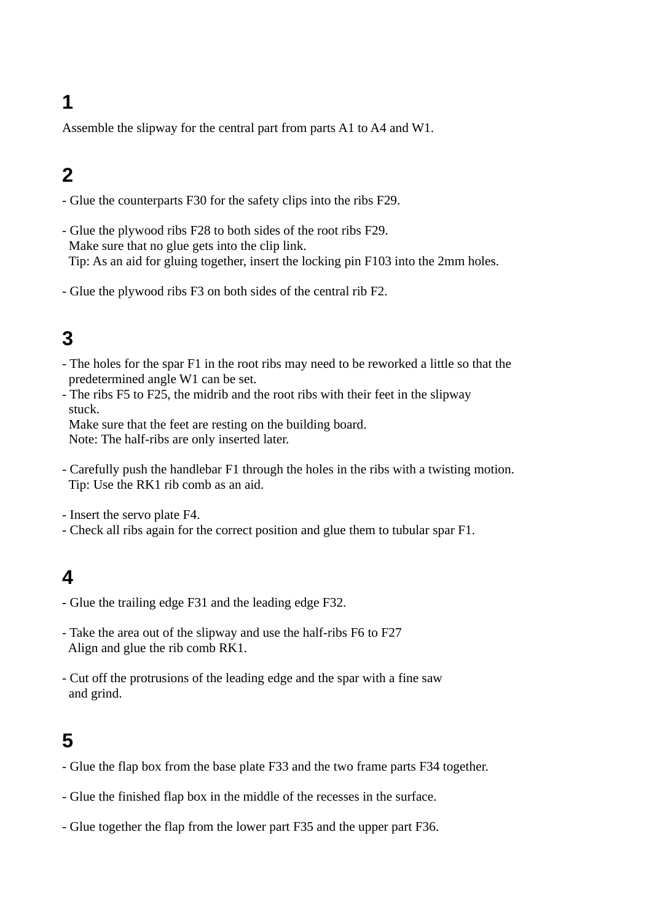Assemble the slipway for the central part from parts A1 to A4 and W1.

# **2**

- Glue the counterparts F30 for the safety clips into the ribs F29.
- Glue the plywood ribs F28 to both sides of the root ribs F29. Make sure that no glue gets into the clip link. Tip: As an aid for gluing together, insert the locking pin F103 into the 2mm holes.
- Glue the plywood ribs F3 on both sides of the central rib F2.

# **3**

- The holes for the spar F1 in the root ribs may need to be reworked a little so that the predetermined angle W1 can be set.
- The ribs F5 to F25, the midrib and the root ribs with their feet in the slipway stuck.

 Make sure that the feet are resting on the building board. Note: The half-ribs are only inserted later.

- Carefully push the handlebar F1 through the holes in the ribs with a twisting motion. Tip: Use the RK1 rib comb as an aid.
- Insert the servo plate F4.
- Check all ribs again for the correct position and glue them to tubular spar F1.

#### **4**

- Glue the trailing edge F31 and the leading edge F32.
- Take the area out of the slipway and use the half-ribs F6 to F27 Align and glue the rib comb RK1.
- Cut off the protrusions of the leading edge and the spar with a fine saw and grind.

- Glue the flap box from the base plate F33 and the two frame parts F34 together.
- Glue the finished flap box in the middle of the recesses in the surface.
- Glue together the flap from the lower part F35 and the upper part F36.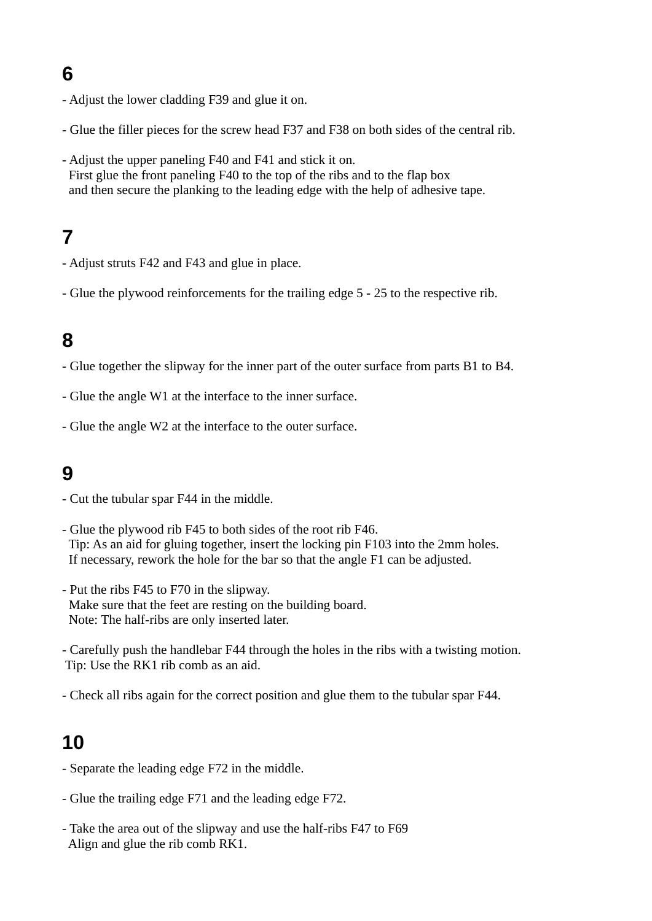- Adjust the lower cladding F39 and glue it on.
- Glue the filler pieces for the screw head F37 and F38 on both sides of the central rib.
- Adjust the upper paneling F40 and F41 and stick it on. First glue the front paneling F40 to the top of the ribs and to the flap box and then secure the planking to the leading edge with the help of adhesive tape.

# **7**

- Adjust struts F42 and F43 and glue in place.
- Glue the plywood reinforcements for the trailing edge 5 25 to the respective rib.

# **8**

- Glue together the slipway for the inner part of the outer surface from parts B1 to B4.
- Glue the angle W1 at the interface to the inner surface.
- Glue the angle W2 at the interface to the outer surface.

### **9**

- Cut the tubular spar F44 in the middle.
- Glue the plywood rib F45 to both sides of the root rib F46. Tip: As an aid for gluing together, insert the locking pin F103 into the 2mm holes. If necessary, rework the hole for the bar so that the angle F1 can be adjusted.
- Put the ribs F45 to F70 in the slipway. Make sure that the feet are resting on the building board. Note: The half-ribs are only inserted later.
- Carefully push the handlebar F44 through the holes in the ribs with a twisting motion. Tip: Use the RK1 rib comb as an aid.
- Check all ribs again for the correct position and glue them to the tubular spar F44.

- Separate the leading edge F72 in the middle.
- Glue the trailing edge F71 and the leading edge F72.
- Take the area out of the slipway and use the half-ribs F47 to F69 Align and glue the rib comb RK1.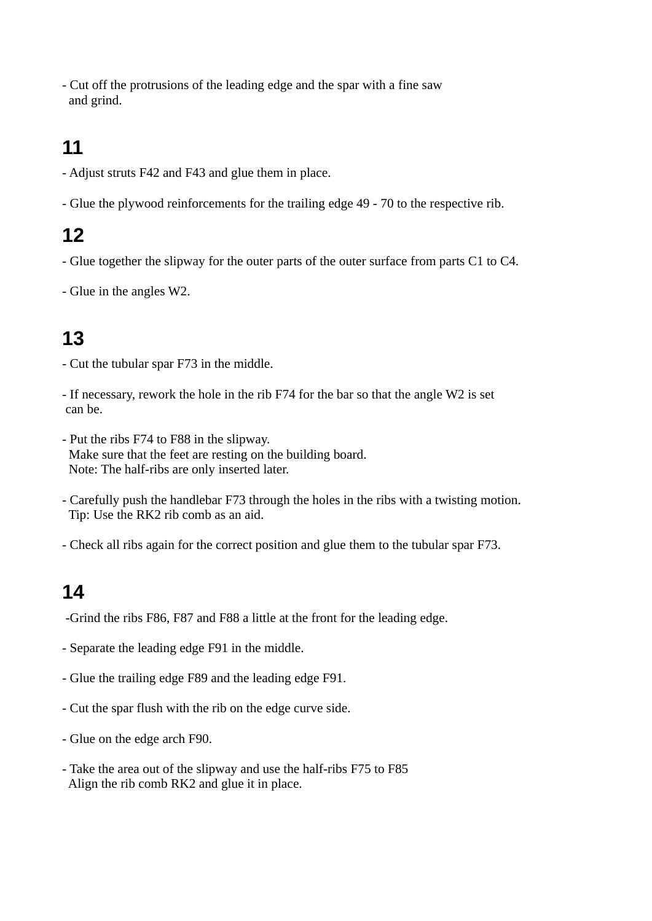- Cut off the protrusions of the leading edge and the spar with a fine saw and grind.

# **11**

- Adjust struts F42 and F43 and glue them in place.
- Glue the plywood reinforcements for the trailing edge 49 70 to the respective rib.

# **12**

- Glue together the slipway for the outer parts of the outer surface from parts C1 to C4.
- Glue in the angles W2.

# **13**

- Cut the tubular spar F73 in the middle.
- If necessary, rework the hole in the rib F74 for the bar so that the angle W2 is set can be.
- Put the ribs F74 to F88 in the slipway. Make sure that the feet are resting on the building board. Note: The half-ribs are only inserted later.
- Carefully push the handlebar F73 through the holes in the ribs with a twisting motion. Tip: Use the RK2 rib comb as an aid.
- Check all ribs again for the correct position and glue them to the tubular spar F73.

- -Grind the ribs F86, F87 and F88 a little at the front for the leading edge.
- Separate the leading edge F91 in the middle.
- Glue the trailing edge F89 and the leading edge F91.
- Cut the spar flush with the rib on the edge curve side.
- Glue on the edge arch F90.
- Take the area out of the slipway and use the half-ribs F75 to F85 Align the rib comb RK2 and glue it in place.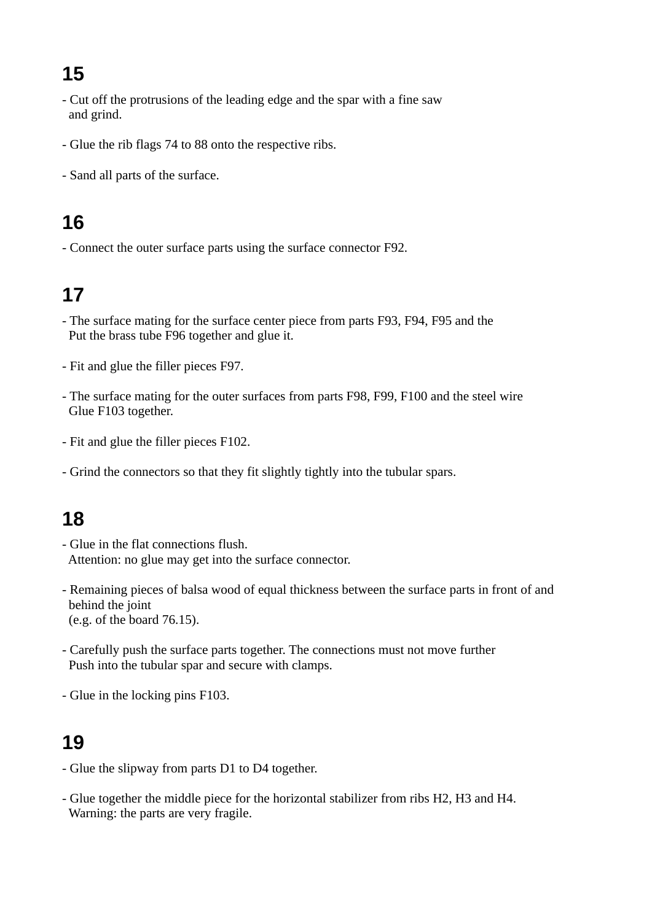- Cut off the protrusions of the leading edge and the spar with a fine saw and grind.
- Glue the rib flags 74 to 88 onto the respective ribs.
- Sand all parts of the surface.

# **16**

- Connect the outer surface parts using the surface connector F92.

# **17**

- The surface mating for the surface center piece from parts F93, F94, F95 and the Put the brass tube F96 together and glue it.
- Fit and glue the filler pieces F97.
- The surface mating for the outer surfaces from parts F98, F99, F100 and the steel wire Glue F103 together.
- Fit and glue the filler pieces F102.
- Grind the connectors so that they fit slightly tightly into the tubular spars.

# **18**

- Glue in the flat connections flush. Attention: no glue may get into the surface connector.
- Remaining pieces of balsa wood of equal thickness between the surface parts in front of and behind the joint (e.g. of the board 76.15).
- Carefully push the surface parts together. The connections must not move further Push into the tubular spar and secure with clamps.
- Glue in the locking pins F103.

- Glue the slipway from parts D1 to D4 together.
- Glue together the middle piece for the horizontal stabilizer from ribs H2, H3 and H4. Warning: the parts are very fragile.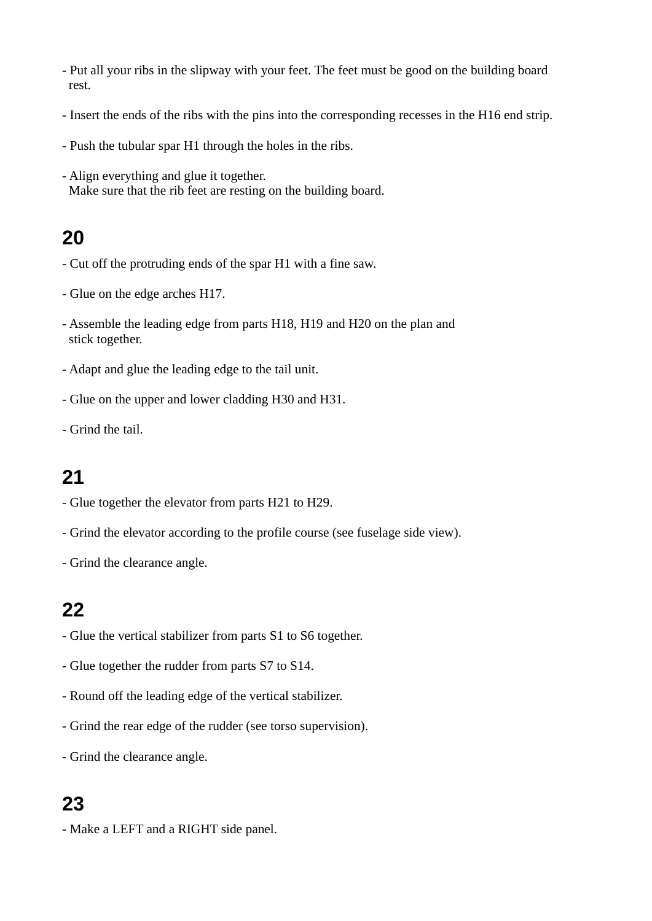- Put all your ribs in the slipway with your feet. The feet must be good on the building board rest.
- Insert the ends of the ribs with the pins into the corresponding recesses in the H16 end strip.
- Push the tubular spar H1 through the holes in the ribs.
- Align everything and glue it together. Make sure that the rib feet are resting on the building board.

- Cut off the protruding ends of the spar H1 with a fine saw.
- Glue on the edge arches H17.
- Assemble the leading edge from parts H18, H19 and H20 on the plan and stick together.
- Adapt and glue the leading edge to the tail unit.
- Glue on the upper and lower cladding H30 and H31.
- Grind the tail.

#### **21**

- Glue together the elevator from parts H21 to H29.
- Grind the elevator according to the profile course (see fuselage side view).
- Grind the clearance angle.

#### **22**

- Glue the vertical stabilizer from parts S1 to S6 together.
- Glue together the rudder from parts S7 to S14.
- Round off the leading edge of the vertical stabilizer.
- Grind the rear edge of the rudder (see torso supervision).
- Grind the clearance angle.

#### **23**

- Make a LEFT and a RIGHT side panel.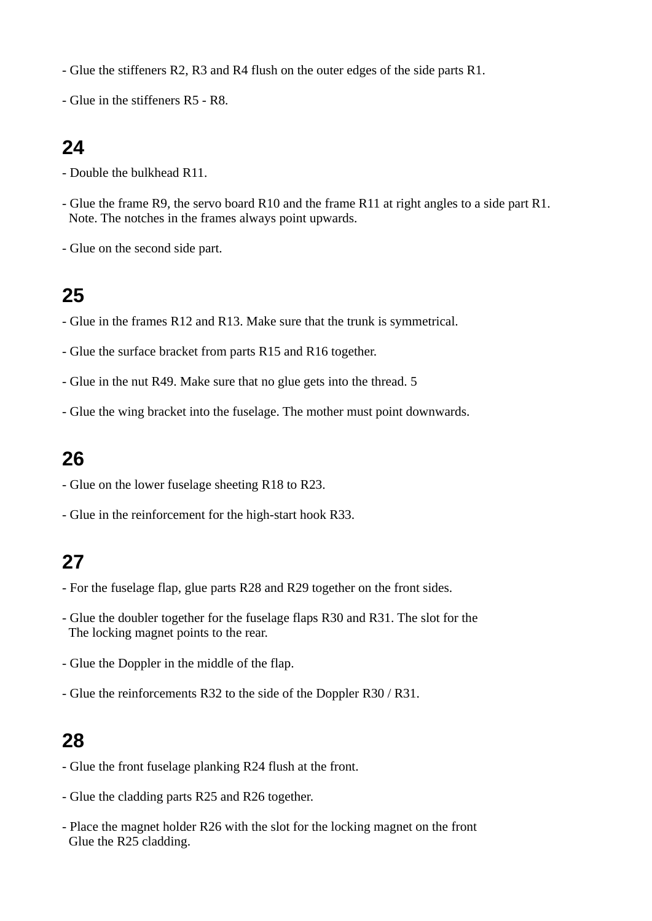- Glue the stiffeners R2, R3 and R4 flush on the outer edges of the side parts R1.

- Glue in the stiffeners R5 - R8.

#### **24**

- Double the bulkhead R11.
- Glue the frame R9, the servo board R10 and the frame R11 at right angles to a side part R1. Note. The notches in the frames always point upwards.
- Glue on the second side part.

#### **25**

- Glue in the frames R12 and R13. Make sure that the trunk is symmetrical.
- Glue the surface bracket from parts R15 and R16 together.
- Glue in the nut R49. Make sure that no glue gets into the thread. 5
- Glue the wing bracket into the fuselage. The mother must point downwards.

#### **26**

- Glue on the lower fuselage sheeting R18 to R23.
- Glue in the reinforcement for the high-start hook R33.

# **27**

- For the fuselage flap, glue parts R28 and R29 together on the front sides.
- Glue the doubler together for the fuselage flaps R30 and R31. The slot for the The locking magnet points to the rear.
- Glue the Doppler in the middle of the flap.
- Glue the reinforcements R32 to the side of the Doppler R30 / R31.

- Glue the front fuselage planking R24 flush at the front.
- Glue the cladding parts R25 and R26 together.
- Place the magnet holder R26 with the slot for the locking magnet on the front Glue the R25 cladding.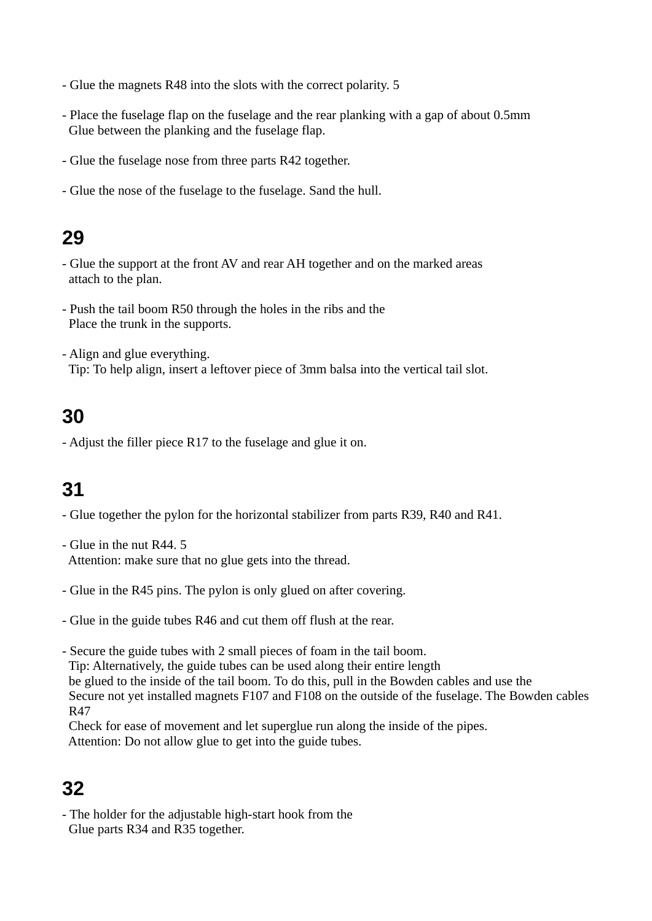- Glue the magnets R48 into the slots with the correct polarity. 5
- Place the fuselage flap on the fuselage and the rear planking with a gap of about 0.5mm Glue between the planking and the fuselage flap.
- Glue the fuselage nose from three parts R42 together.
- Glue the nose of the fuselage to the fuselage. Sand the hull.

- Glue the support at the front AV and rear AH together and on the marked areas attach to the plan.
- Push the tail boom R50 through the holes in the ribs and the Place the trunk in the supports.
- Align and glue everything. Tip: To help align, insert a leftover piece of 3mm balsa into the vertical tail slot.

### **30**

- Adjust the filler piece R17 to the fuselage and glue it on.

# **31**

- Glue together the pylon for the horizontal stabilizer from parts R39, R40 and R41.
- Glue in the nut R44. 5 Attention: make sure that no glue gets into the thread.
- Glue in the R45 pins. The pylon is only glued on after covering.
- Glue in the guide tubes R46 and cut them off flush at the rear.
- Secure the guide tubes with 2 small pieces of foam in the tail boom. Tip: Alternatively, the guide tubes can be used along their entire length be glued to the inside of the tail boom. To do this, pull in the Bowden cables and use the Secure not yet installed magnets F107 and F108 on the outside of the fuselage. The Bowden cables R47
- Check for ease of movement and let superglue run along the inside of the pipes. Attention: Do not allow glue to get into the guide tubes.

# **32**

- The holder for the adjustable high-start hook from the Glue parts R34 and R35 together.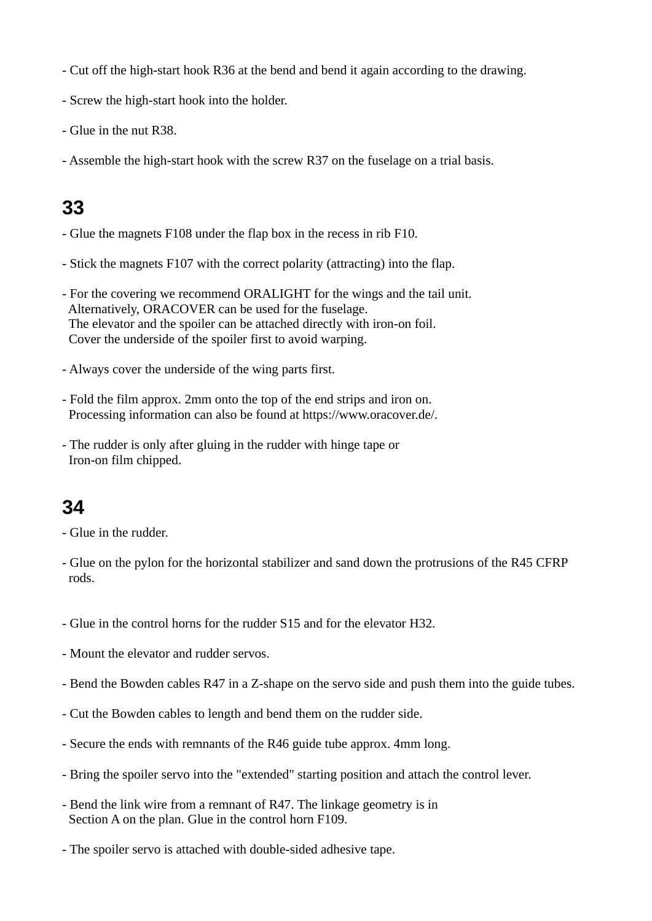- Cut off the high-start hook R36 at the bend and bend it again according to the drawing.
- Screw the high-start hook into the holder.
- Glue in the nut R38.
- Assemble the high-start hook with the screw R37 on the fuselage on a trial basis.

- Glue the magnets F108 under the flap box in the recess in rib F10.
- Stick the magnets F107 with the correct polarity (attracting) into the flap.
- For the covering we recommend ORALIGHT for the wings and the tail unit. Alternatively, ORACOVER can be used for the fuselage. The elevator and the spoiler can be attached directly with iron-on foil. Cover the underside of the spoiler first to avoid warping.
- Always cover the underside of the wing parts first.
- Fold the film approx. 2mm onto the top of the end strips and iron on. Processing information can also be found at https://www.oracover.de/.
- The rudder is only after gluing in the rudder with hinge tape or Iron-on film chipped.

### **34**

- Glue in the rudder.

- Glue on the pylon for the horizontal stabilizer and sand down the protrusions of the R45 CFRP rods.
- Glue in the control horns for the rudder S15 and for the elevator H32.
- Mount the elevator and rudder servos.
- Bend the Bowden cables R47 in a Z-shape on the servo side and push them into the guide tubes.
- Cut the Bowden cables to length and bend them on the rudder side.
- Secure the ends with remnants of the R46 guide tube approx. 4mm long.
- Bring the spoiler servo into the "extended" starting position and attach the control lever.
- Bend the link wire from a remnant of R47. The linkage geometry is in Section A on the plan. Glue in the control horn F109.
- The spoiler servo is attached with double-sided adhesive tape.